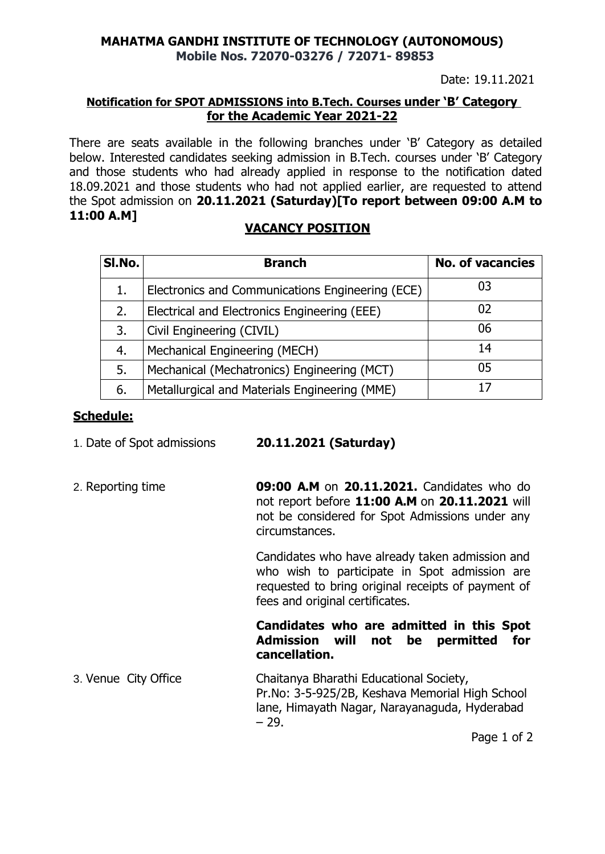## **MAHATMA GANDHI INSTITUTE OF TECHNOLOGY (AUTONOMOUS) Mobile Nos. 72070-03276 / 72071- 89853**

Date: 19.11.2021

## **Notification for SPOT ADMISSIONS into B.Tech. Courses under 'B' Category for the Academic Year 2021-22**

There are seats available in the following branches under 'B' Category as detailed below. Interested candidates seeking admission in B.Tech. courses under 'B' Category and those students who had already applied in response to the notification dated 18.09.2021 and those students who had not applied earlier, are requested to attend the Spot admission on **20.11.2021 (Saturday)[To report between 09:00 A.M to 11:00 A.M]**

# **VACANCY POSITION**

| SI.No. | <b>Branch</b>                                    | <b>No. of vacancies</b> |
|--------|--------------------------------------------------|-------------------------|
|        | Electronics and Communications Engineering (ECE) | 03                      |
| 2.     | Electrical and Electronics Engineering (EEE)     | 02                      |
| 3.     | Civil Engineering (CIVIL)                        | 06                      |
| 4.     | Mechanical Engineering (MECH)                    | 14                      |
| 5.     | Mechanical (Mechatronics) Engineering (MCT)      | 05                      |
| 6.     | Metallurgical and Materials Engineering (MME)    |                         |

## **Schedule:**

| 1. Date of Spot admissions | 20.11.2021 (Saturday) |  |
|----------------------------|-----------------------|--|
|                            |                       |  |

2. Reporting time **09:00 A.M** on **20.11.2021.** Candidates who do not report before **11:00 A.M** on **20.11.2021** will not be considered for Spot Admissions under any circumstances.

> Candidates who have already taken admission and who wish to participate in Spot admission are requested to bring original receipts of payment of fees and original certificates.

#### **Candidates who are admitted in this Spot Admission will not be permitted for cancellation.**

3. Venue City Office Chaitanya Bharathi Educational Society, Pr.No: 3-5-925/2B, Keshava Memorial High School lane, Himayath Nagar, Narayanaguda, Hyderabad – 29.

Page 1 of 2